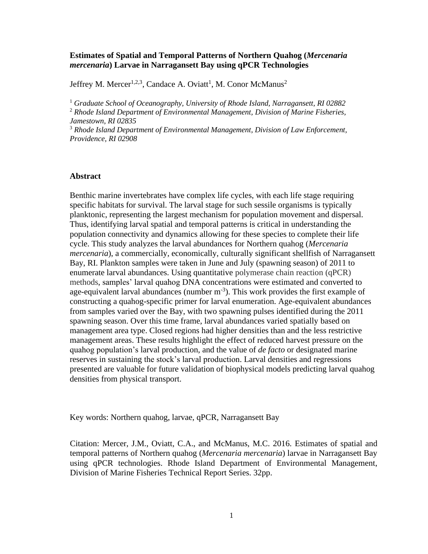# **Estimates of Spatial and Temporal Patterns of Northern Quahog (***Mercenaria mercenaria***) Larvae in Narragansett Bay using qPCR Technologies**

Jeffrey M. Mercer<sup>1,2,3</sup>, Candace A. Oviatt<sup>1</sup>, M. Conor McManus<sup>2</sup>

<sup>1</sup> *Graduate School of Oceanography, University of Rhode Island, Narragansett, RI 02882* <sup>2</sup> *Rhode Island Department of Environmental Management, Division of Marine Fisheries,* 

*Jamestown, RI 02835*

<sup>3</sup> *Rhode Island Department of Environmental Management, Division of Law Enforcement, Providence, RI 02908*

#### **Abstract**

Benthic marine invertebrates have complex life cycles, with each life stage requiring specific habitats for survival. The larval stage for such sessile organisms is typically planktonic, representing the largest mechanism for population movement and dispersal. Thus, identifying larval spatial and temporal patterns is critical in understanding the population connectivity and dynamics allowing for these species to complete their life cycle. This study analyzes the larval abundances for Northern quahog (*Mercenaria mercenaria*), a commercially, economically, culturally significant shellfish of Narragansett Bay, RI. Plankton samples were taken in June and July (spawning season) of 2011 to enumerate larval abundances. Using quantitative polymerase chain reaction (qPCR) methods, samples' larval quahog DNA concentrations were estimated and converted to age-equivalent larval abundances (number  $m^{-3}$ ). This work provides the first example of constructing a quahog-specific primer for larval enumeration. Age-equivalent abundances from samples varied over the Bay, with two spawning pulses identified during the 2011 spawning season. Over this time frame, larval abundances varied spatially based on management area type. Closed regions had higher densities than and the less restrictive management areas. These results highlight the effect of reduced harvest pressure on the quahog population's larval production, and the value of *de facto* or designated marine reserves in sustaining the stock's larval production. Larval densities and regressions presented are valuable for future validation of biophysical models predicting larval quahog densities from physical transport.

Key words: Northern quahog, larvae, qPCR, Narragansett Bay

Citation: Mercer, J.M., Oviatt, C.A., and McManus, M.C. 2016. Estimates of spatial and temporal patterns of Northern quahog (*Mercenaria mercenaria*) larvae in Narragansett Bay using qPCR technologies. Rhode Island Department of Environmental Management, Division of Marine Fisheries Technical Report Series. 32pp.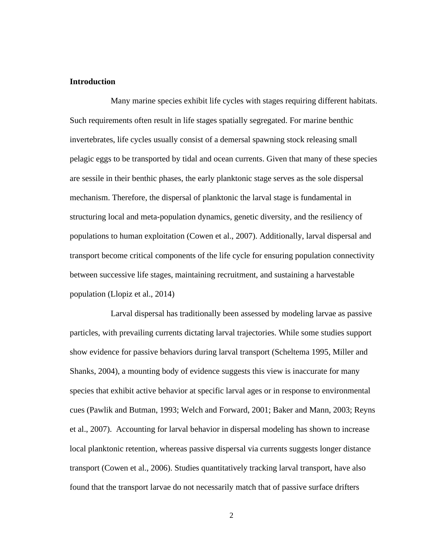### **Introduction**

Many marine species exhibit life cycles with stages requiring different habitats. Such requirements often result in life stages spatially segregated. For marine benthic invertebrates, life cycles usually consist of a demersal spawning stock releasing small pelagic eggs to be transported by tidal and ocean currents. Given that many of these species are sessile in their benthic phases, the early planktonic stage serves as the sole dispersal mechanism. Therefore, the dispersal of planktonic the larval stage is fundamental in structuring local and meta-population dynamics, genetic diversity, and the resiliency of populations to human exploitation (Cowen et al., 2007). Additionally, larval dispersal and transport become critical components of the life cycle for ensuring population connectivity between successive life stages, maintaining recruitment, and sustaining a harvestable population (Llopiz et al., 2014)

Larval dispersal has traditionally been assessed by modeling larvae as passive particles, with prevailing currents dictating larval trajectories. While some studies support show evidence for passive behaviors during larval transport (Scheltema 1995, Miller and Shanks, 2004), a mounting body of evidence suggests this view is inaccurate for many species that exhibit active behavior at specific larval ages or in response to environmental cues (Pawlik and Butman, 1993; Welch and Forward, 2001; Baker and Mann, 2003; Reyns et al., 2007). Accounting for larval behavior in dispersal modeling has shown to increase local planktonic retention, whereas passive dispersal via currents suggests longer distance transport (Cowen et al., 2006). Studies quantitatively tracking larval transport, have also found that the transport larvae do not necessarily match that of passive surface drifters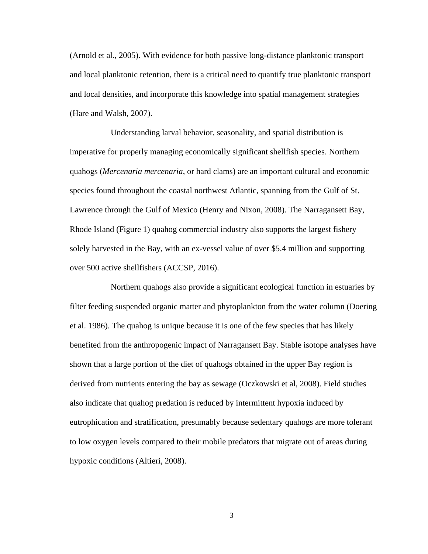(Arnold et al., 2005). With evidence for both passive long-distance planktonic transport and local planktonic retention, there is a critical need to quantify true planktonic transport and local densities, and incorporate this knowledge into spatial management strategies (Hare and Walsh, 2007).

Understanding larval behavior, seasonality, and spatial distribution is imperative for properly managing economically significant shellfish species. Northern quahogs (*Mercenaria mercenaria*, or hard clams) are an important cultural and economic species found throughout the coastal northwest Atlantic, spanning from the Gulf of St. Lawrence through the Gulf of Mexico (Henry and Nixon, 2008). The Narragansett Bay, Rhode Island (Figure 1) quahog commercial industry also supports the largest fishery solely harvested in the Bay, with an ex-vessel value of over \$5.4 million and supporting over 500 active shellfishers (ACCSP, 2016).

Northern quahogs also provide a significant ecological function in estuaries by filter feeding suspended organic matter and phytoplankton from the water column (Doering et al. 1986). The quahog is unique because it is one of the few species that has likely benefited from the anthropogenic impact of Narragansett Bay. Stable isotope analyses have shown that a large portion of the diet of quahogs obtained in the upper Bay region is derived from nutrients entering the bay as sewage (Oczkowski et al, 2008). Field studies also indicate that quahog predation is reduced by intermittent hypoxia induced by eutrophication and stratification, presumably because sedentary quahogs are more tolerant to low oxygen levels compared to their mobile predators that migrate out of areas during hypoxic conditions (Altieri, 2008).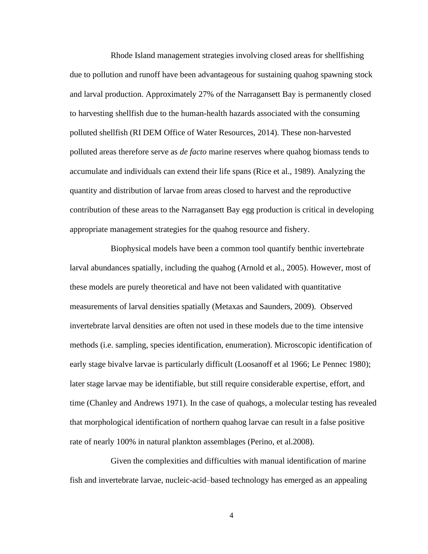Rhode Island management strategies involving closed areas for shellfishing due to pollution and runoff have been advantageous for sustaining quahog spawning stock and larval production. Approximately 27% of the Narragansett Bay is permanently closed to harvesting shellfish due to the human-health hazards associated with the consuming polluted shellfish (RI DEM Office of Water Resources, 2014). These non-harvested polluted areas therefore serve as *de facto* marine reserves where quahog biomass tends to accumulate and individuals can extend their life spans (Rice et al., 1989). Analyzing the quantity and distribution of larvae from areas closed to harvest and the reproductive contribution of these areas to the Narragansett Bay egg production is critical in developing appropriate management strategies for the quahog resource and fishery.

Biophysical models have been a common tool quantify benthic invertebrate larval abundances spatially, including the quahog (Arnold et al., 2005). However, most of these models are purely theoretical and have not been validated with quantitative measurements of larval densities spatially (Metaxas and Saunders, 2009). Observed invertebrate larval densities are often not used in these models due to the time intensive methods (i.e. sampling, species identification, enumeration). Microscopic identification of early stage bivalve larvae is particularly difficult (Loosanoff et al 1966; Le Pennec 1980); later stage larvae may be identifiable, but still require considerable expertise, effort, and time (Chanley and Andrews 1971). In the case of quahogs, a molecular testing has revealed that morphological identification of northern quahog larvae can result in a false positive rate of nearly 100% in natural plankton assemblages (Perino, et al.2008).

Given the complexities and difficulties with manual identification of marine fish and invertebrate larvae, nucleic-acid–based technology has emerged as an appealing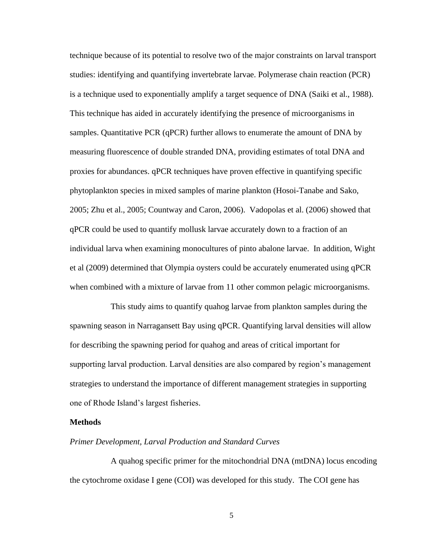technique because of its potential to resolve two of the major constraints on larval transport studies: identifying and quantifying invertebrate larvae. Polymerase chain reaction (PCR) is a technique used to exponentially amplify a target sequence of DNA (Saiki et al., 1988). This technique has aided in accurately identifying the presence of microorganisms in samples. Quantitative PCR (qPCR) further allows to enumerate the amount of DNA by measuring fluorescence of double stranded DNA, providing estimates of total DNA and proxies for abundances. qPCR techniques have proven effective in quantifying specific phytoplankton species in mixed samples of marine plankton (Hosoi-Tanabe and Sako, 2005; Zhu et al., 2005; Countway and Caron, 2006). Vadopolas et al. (2006) showed that qPCR could be used to quantify mollusk larvae accurately down to a fraction of an individual larva when examining monocultures of pinto abalone larvae. In addition, Wight et al (2009) determined that Olympia oysters could be accurately enumerated using qPCR when combined with a mixture of larvae from 11 other common pelagic microorganisms.

This study aims to quantify quahog larvae from plankton samples during the spawning season in Narragansett Bay using qPCR. Quantifying larval densities will allow for describing the spawning period for quahog and areas of critical important for supporting larval production. Larval densities are also compared by region's management strategies to understand the importance of different management strategies in supporting one of Rhode Island's largest fisheries.

### **Methods**

#### *Primer Development, Larval Production and Standard Curves*

A quahog specific primer for the mitochondrial DNA (mtDNA) locus encoding the cytochrome oxidase I gene (COI) was developed for this study. The COI gene has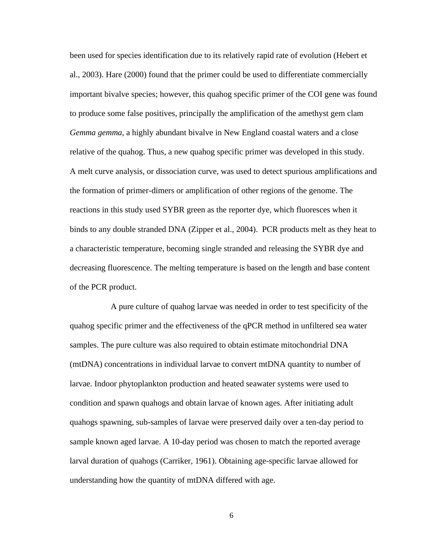been used for species identification due to its relatively rapid rate of evolution (Hebert et al., 2003). Hare (2000) found that the primer could be used to differentiate commercially important bivalve species; however, this quahog specific primer of the COI gene was found to produce some false positives, principally the amplification of the amethyst gem clam *Gemma gemma*, a highly abundant bivalve in New England coastal waters and a close relative of the quahog. Thus, a new quahog specific primer was developed in this study. A melt curve analysis, or dissociation curve, was used to detect spurious amplifications and the formation of primer-dimers or amplification of other regions of the genome. The reactions in this study used SYBR green as the reporter dye, which fluoresces when it binds to any double stranded DNA (Zipper et al., 2004). PCR products melt as they heat to a characteristic temperature, becoming single stranded and releasing the SYBR dye and decreasing fluorescence. The melting temperature is based on the length and base content of the PCR product.

A pure culture of quahog larvae was needed in order to test specificity of the quahog specific primer and the effectiveness of the qPCR method in unfiltered sea water samples. The pure culture was also required to obtain estimate mitochondrial DNA (mtDNA) concentrations in individual larvae to convert mtDNA quantity to number of larvae. Indoor phytoplankton production and heated seawater systems were used to condition and spawn quahogs and obtain larvae of known ages. After initiating adult quahogs spawning, sub-samples of larvae were preserved daily over a ten-day period to sample known aged larvae. A 10-day period was chosen to match the reported average larval duration of quahogs (Carriker, 1961). Obtaining age-specific larvae allowed for understanding how the quantity of mtDNA differed with age.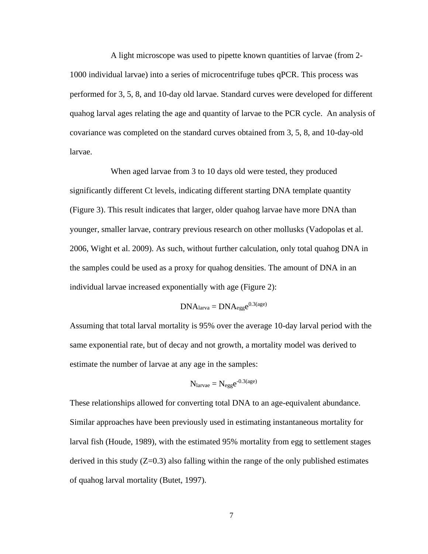A light microscope was used to pipette known quantities of larvae (from 2- 1000 individual larvae) into a series of microcentrifuge tubes qPCR. This process was performed for 3, 5, 8, and 10-day old larvae. Standard curves were developed for different quahog larval ages relating the age and quantity of larvae to the PCR cycle. An analysis of covariance was completed on the standard curves obtained from 3, 5, 8, and 10-day-old larvae.

When aged larvae from 3 to 10 days old were tested, they produced significantly different Ct levels, indicating different starting DNA template quantity (Figure 3). This result indicates that larger, older quahog larvae have more DNA than younger, smaller larvae, contrary previous research on other mollusks (Vadopolas et al. 2006, Wight et al. 2009). As such, without further calculation, only total quahog DNA in the samples could be used as a proxy for quahog densities. The amount of DNA in an individual larvae increased exponentially with age (Figure 2):

$$
DNA_{larva} = DNA_{egg}e^{0.3(age)}
$$

Assuming that total larval mortality is 95% over the average 10-day larval period with the same exponential rate, but of decay and not growth, a mortality model was derived to estimate the number of larvae at any age in the samples:

$$
N_{larvae} = N_{egg}e^{-0.3(age)}
$$

These relationships allowed for converting total DNA to an age-equivalent abundance. Similar approaches have been previously used in estimating instantaneous mortality for larval fish (Houde, 1989), with the estimated 95% mortality from egg to settlement stages derived in this study  $(Z=0.3)$  also falling within the range of the only published estimates of quahog larval mortality (Butet, 1997).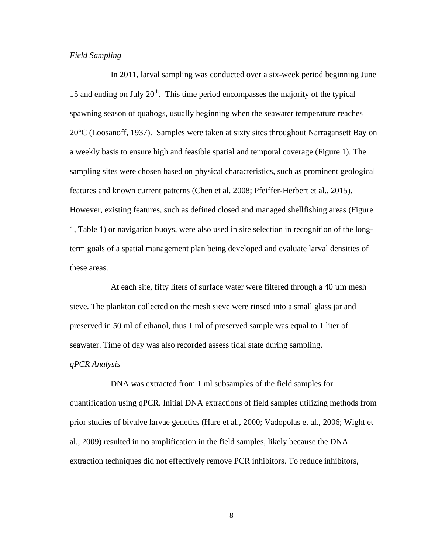### *Field Sampling*

In 2011, larval sampling was conducted over a six-week period beginning June 15 and ending on July  $20<sup>th</sup>$ . This time period encompasses the majority of the typical spawning season of quahogs, usually beginning when the seawater temperature reaches 20°C (Loosanoff, 1937). Samples were taken at sixty sites throughout Narragansett Bay on a weekly basis to ensure high and feasible spatial and temporal coverage (Figure 1). The sampling sites were chosen based on physical characteristics, such as prominent geological features and known current patterns (Chen et al. 2008; Pfeiffer-Herbert et al., 2015). However, existing features, such as defined closed and managed shellfishing areas (Figure 1, Table 1) or navigation buoys, were also used in site selection in recognition of the longterm goals of a spatial management plan being developed and evaluate larval densities of these areas.

At each site, fifty liters of surface water were filtered through a 40 µm mesh sieve. The plankton collected on the mesh sieve were rinsed into a small glass jar and preserved in 50 ml of ethanol, thus 1 ml of preserved sample was equal to 1 liter of seawater. Time of day was also recorded assess tidal state during sampling.

# *qPCR Analysis*

DNA was extracted from 1 ml subsamples of the field samples for quantification using qPCR. Initial DNA extractions of field samples utilizing methods from prior studies of bivalve larvae genetics (Hare et al., 2000; Vadopolas et al., 2006; Wight et al., 2009) resulted in no amplification in the field samples, likely because the DNA extraction techniques did not effectively remove PCR inhibitors. To reduce inhibitors,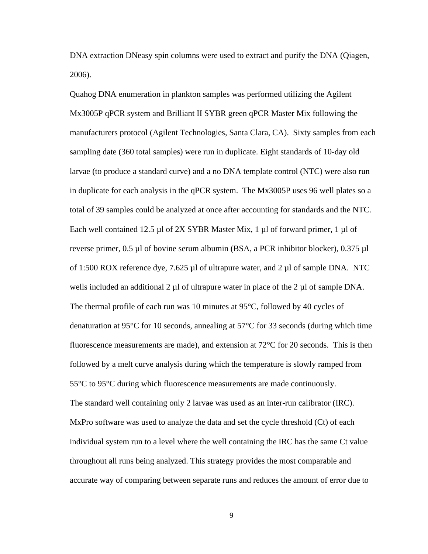DNA extraction DNeasy spin columns were used to extract and purify the DNA (Qiagen, 2006).

Quahog DNA enumeration in plankton samples was performed utilizing the Agilent Mx3005P qPCR system and Brilliant II SYBR green qPCR Master Mix following the manufacturers protocol (Agilent Technologies, Santa Clara, CA). Sixty samples from each sampling date (360 total samples) were run in duplicate. Eight standards of 10-day old larvae (to produce a standard curve) and a no DNA template control (NTC) were also run in duplicate for each analysis in the qPCR system. The Mx3005P uses 96 well plates so a total of 39 samples could be analyzed at once after accounting for standards and the NTC. Each well contained 12.5 µl of 2X SYBR Master Mix, 1 µl of forward primer, 1 µl of reverse primer, 0.5 µl of bovine serum albumin (BSA, a PCR inhibitor blocker), 0.375 µl of 1:500 ROX reference dye, 7.625  $\mu$ l of ultrapure water, and 2  $\mu$ l of sample DNA. NTC wells included an additional 2  $\mu$ l of ultrapure water in place of the 2  $\mu$ l of sample DNA. The thermal profile of each run was 10 minutes at 95°C, followed by 40 cycles of denaturation at 95 $\degree$ C for 10 seconds, annealing at 57 $\degree$ C for 33 seconds (during which time fluorescence measurements are made), and extension at  $72^{\circ}$ C for 20 seconds. This is then followed by a melt curve analysis during which the temperature is slowly ramped from 55°C to 95°C during which fluorescence measurements are made continuously. The standard well containing only 2 larvae was used as an inter-run calibrator (IRC). MxPro software was used to analyze the data and set the cycle threshold (Ct) of each individual system run to a level where the well containing the IRC has the same Ct value throughout all runs being analyzed. This strategy provides the most comparable and accurate way of comparing between separate runs and reduces the amount of error due to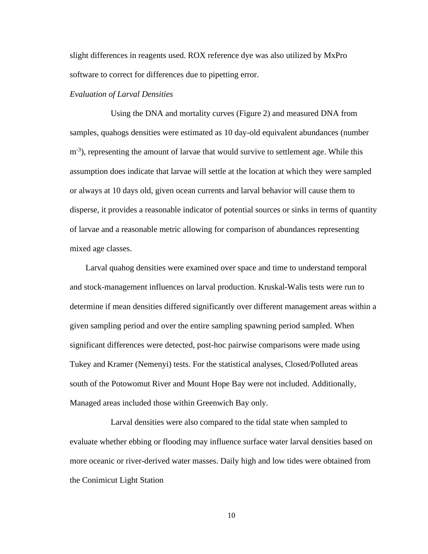slight differences in reagents used. ROX reference dye was also utilized by MxPro software to correct for differences due to pipetting error.

### *Evaluation of Larval Densities*

Using the DNA and mortality curves (Figure 2) and measured DNA from samples, quahogs densities were estimated as 10 day-old equivalent abundances (number m<sup>-3</sup>), representing the amount of larvae that would survive to settlement age. While this assumption does indicate that larvae will settle at the location at which they were sampled or always at 10 days old, given ocean currents and larval behavior will cause them to disperse, it provides a reasonable indicator of potential sources or sinks in terms of quantity of larvae and a reasonable metric allowing for comparison of abundances representing mixed age classes.

Larval quahog densities were examined over space and time to understand temporal and stock-management influences on larval production. Kruskal-Walis tests were run to determine if mean densities differed significantly over different management areas within a given sampling period and over the entire sampling spawning period sampled. When significant differences were detected, post-hoc pairwise comparisons were made using Tukey and Kramer (Nemenyi) tests. For the statistical analyses, Closed/Polluted areas south of the Potowomut River and Mount Hope Bay were not included. Additionally, Managed areas included those within Greenwich Bay only.

Larval densities were also compared to the tidal state when sampled to evaluate whether ebbing or flooding may influence surface water larval densities based on more oceanic or river-derived water masses. Daily high and low tides were obtained from the Conimicut Light Station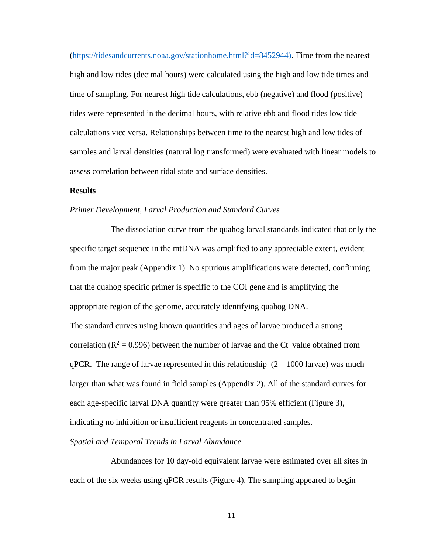[\(https://tidesandcurrents.noaa.gov/stationhome.html?id=8452944\).](https://tidesandcurrents.noaa.gov/stationhome.html?id=8452944)) Time from the nearest high and low tides (decimal hours) were calculated using the high and low tide times and time of sampling. For nearest high tide calculations, ebb (negative) and flood (positive) tides were represented in the decimal hours, with relative ebb and flood tides low tide calculations vice versa. Relationships between time to the nearest high and low tides of samples and larval densities (natural log transformed) were evaluated with linear models to assess correlation between tidal state and surface densities.

### **Results**

#### *Primer Development, Larval Production and Standard Curves*

The dissociation curve from the quahog larval standards indicated that only the specific target sequence in the mtDNA was amplified to any appreciable extent, evident from the major peak (Appendix 1). No spurious amplifications were detected, confirming that the quahog specific primer is specific to the COI gene and is amplifying the appropriate region of the genome, accurately identifying quahog DNA. The standard curves using known quantities and ages of larvae produced a strong correlation ( $R^2 = 0.996$ ) between the number of larvae and the Ct value obtained from qPCR. The range of larvae represented in this relationship  $(2 - 1000)$  larvae) was much larger than what was found in field samples (Appendix 2). All of the standard curves for each age-specific larval DNA quantity were greater than 95% efficient (Figure 3), indicating no inhibition or insufficient reagents in concentrated samples.

#### *Spatial and Temporal Trends in Larval Abundance*

Abundances for 10 day-old equivalent larvae were estimated over all sites in each of the six weeks using qPCR results (Figure 4). The sampling appeared to begin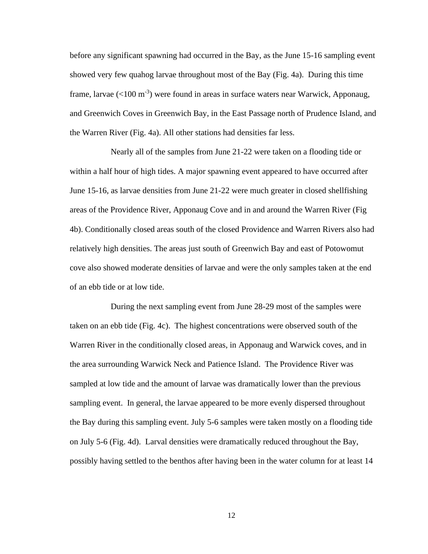before any significant spawning had occurred in the Bay, as the June 15-16 sampling event showed very few quahog larvae throughout most of the Bay (Fig. 4a). During this time frame, larvae  $(<100 \text{ m}^3)$  were found in areas in surface waters near Warwick, Apponaug, and Greenwich Coves in Greenwich Bay, in the East Passage north of Prudence Island, and the Warren River (Fig. 4a). All other stations had densities far less.

Nearly all of the samples from June 21-22 were taken on a flooding tide or within a half hour of high tides. A major spawning event appeared to have occurred after June 15-16, as larvae densities from June 21-22 were much greater in closed shellfishing areas of the Providence River, Apponaug Cove and in and around the Warren River (Fig 4b). Conditionally closed areas south of the closed Providence and Warren Rivers also had relatively high densities. The areas just south of Greenwich Bay and east of Potowomut cove also showed moderate densities of larvae and were the only samples taken at the end of an ebb tide or at low tide.

During the next sampling event from June 28-29 most of the samples were taken on an ebb tide (Fig. 4c). The highest concentrations were observed south of the Warren River in the conditionally closed areas, in Apponaug and Warwick coves, and in the area surrounding Warwick Neck and Patience Island. The Providence River was sampled at low tide and the amount of larvae was dramatically lower than the previous sampling event. In general, the larvae appeared to be more evenly dispersed throughout the Bay during this sampling event. July 5-6 samples were taken mostly on a flooding tide on July 5-6 (Fig. 4d). Larval densities were dramatically reduced throughout the Bay, possibly having settled to the benthos after having been in the water column for at least 14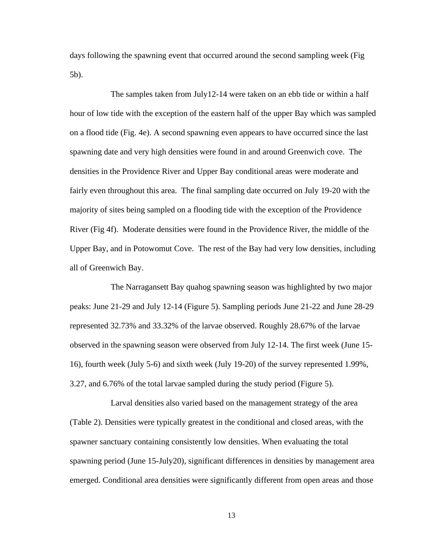days following the spawning event that occurred around the second sampling week (Fig 5b).

The samples taken from July12-14 were taken on an ebb tide or within a half hour of low tide with the exception of the eastern half of the upper Bay which was sampled on a flood tide (Fig. 4e). A second spawning even appears to have occurred since the last spawning date and very high densities were found in and around Greenwich cove. The densities in the Providence River and Upper Bay conditional areas were moderate and fairly even throughout this area. The final sampling date occurred on July 19-20 with the majority of sites being sampled on a flooding tide with the exception of the Providence River (Fig 4f). Moderate densities were found in the Providence River, the middle of the Upper Bay, and in Potowomut Cove. The rest of the Bay had very low densities, including all of Greenwich Bay.

The Narragansett Bay quahog spawning season was highlighted by two major peaks: June 21-29 and July 12-14 (Figure 5). Sampling periods June 21-22 and June 28-29 represented 32.73% and 33.32% of the larvae observed. Roughly 28.67% of the larvae observed in the spawning season were observed from July 12-14. The first week (June 15- 16), fourth week (July 5-6) and sixth week (July 19-20) of the survey represented 1.99%, 3.27, and 6.76% of the total larvae sampled during the study period (Figure 5).

Larval densities also varied based on the management strategy of the area (Table 2). Densities were typically greatest in the conditional and closed areas, with the spawner sanctuary containing consistently low densities. When evaluating the total spawning period (June 15-July20), significant differences in densities by management area emerged. Conditional area densities were significantly different from open areas and those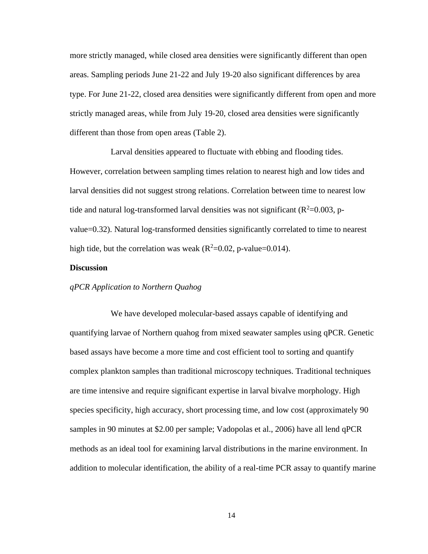more strictly managed, while closed area densities were significantly different than open areas. Sampling periods June 21-22 and July 19-20 also significant differences by area type. For June 21-22, closed area densities were significantly different from open and more strictly managed areas, while from July 19-20, closed area densities were significantly different than those from open areas (Table 2).

Larval densities appeared to fluctuate with ebbing and flooding tides. However, correlation between sampling times relation to nearest high and low tides and larval densities did not suggest strong relations. Correlation between time to nearest low tide and natural log-transformed larval densities was not significant ( $R^2$ =0.003, pvalue=0.32). Natural log-transformed densities significantly correlated to time to nearest high tide, but the correlation was weak ( $R^2$ =0.02, p-value=0.014).

### **Discussion**

### *qPCR Application to Northern Quahog*

We have developed molecular-based assays capable of identifying and quantifying larvae of Northern quahog from mixed seawater samples using qPCR. Genetic based assays have become a more time and cost efficient tool to sorting and quantify complex plankton samples than traditional microscopy techniques. Traditional techniques are time intensive and require significant expertise in larval bivalve morphology. High species specificity, high accuracy, short processing time, and low cost (approximately 90 samples in 90 minutes at \$2.00 per sample; Vadopolas et al., 2006) have all lend qPCR methods as an ideal tool for examining larval distributions in the marine environment. In addition to molecular identification, the ability of a real-time PCR assay to quantify marine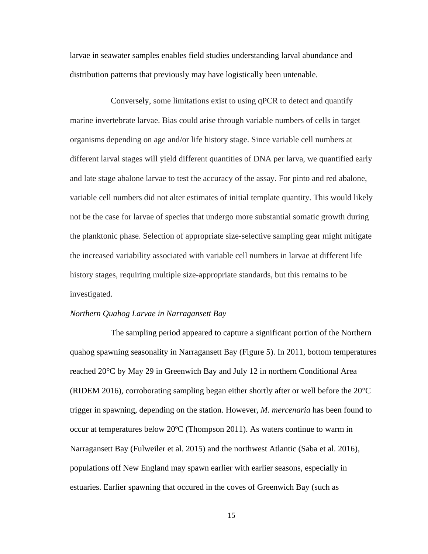larvae in seawater samples enables field studies understanding larval abundance and distribution patterns that previously may have logistically been untenable.

Conversely, some limitations exist to using qPCR to detect and quantify marine invertebrate larvae. Bias could arise through variable numbers of cells in target organisms depending on age and/or life history stage. Since variable cell numbers at different larval stages will yield different quantities of DNA per larva, we quantified early and late stage abalone larvae to test the accuracy of the assay. For pinto and red abalone, variable cell numbers did not alter estimates of initial template quantity. This would likely not be the case for larvae of species that undergo more substantial somatic growth during the planktonic phase. Selection of appropriate size-selective sampling gear might mitigate the increased variability associated with variable cell numbers in larvae at different life history stages, requiring multiple size-appropriate standards, but this remains to be investigated.

### *Northern Quahog Larvae in Narragansett Bay*

The sampling period appeared to capture a significant portion of the Northern quahog spawning seasonality in Narragansett Bay (Figure 5). In 2011, bottom temperatures reached 20°C by May 29 in Greenwich Bay and July 12 in northern Conditional Area (RIDEM 2016), corroborating sampling began either shortly after or well before the 20°C trigger in spawning, depending on the station. However, *M. mercenaria* has been found to occur at temperatures below 20ºC (Thompson 2011). As waters continue to warm in Narragansett Bay (Fulweiler et al. 2015) and the northwest Atlantic (Saba et al. 2016), populations off New England may spawn earlier with earlier seasons, especially in estuaries. Earlier spawning that occured in the coves of Greenwich Bay (such as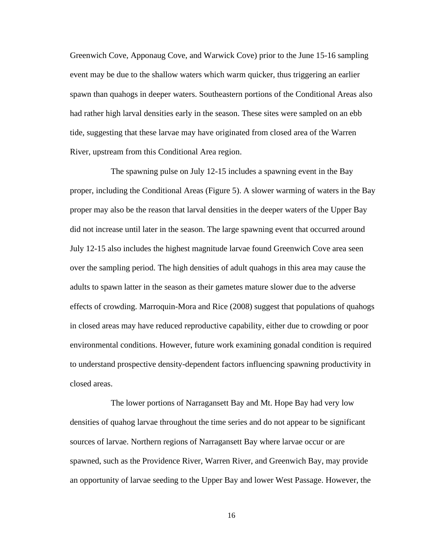Greenwich Cove, Apponaug Cove, and Warwick Cove) prior to the June 15-16 sampling event may be due to the shallow waters which warm quicker, thus triggering an earlier spawn than quahogs in deeper waters. Southeastern portions of the Conditional Areas also had rather high larval densities early in the season. These sites were sampled on an ebb tide, suggesting that these larvae may have originated from closed area of the Warren River, upstream from this Conditional Area region.

The spawning pulse on July 12-15 includes a spawning event in the Bay proper, including the Conditional Areas (Figure 5). A slower warming of waters in the Bay proper may also be the reason that larval densities in the deeper waters of the Upper Bay did not increase until later in the season. The large spawning event that occurred around July 12-15 also includes the highest magnitude larvae found Greenwich Cove area seen over the sampling period. The high densities of adult quahogs in this area may cause the adults to spawn latter in the season as their gametes mature slower due to the adverse effects of crowding. Marroquin-Mora and Rice (2008) suggest that populations of quahogs in closed areas may have reduced reproductive capability, either due to crowding or poor environmental conditions. However, future work examining gonadal condition is required to understand prospective density-dependent factors influencing spawning productivity in closed areas.

The lower portions of Narragansett Bay and Mt. Hope Bay had very low densities of quahog larvae throughout the time series and do not appear to be significant sources of larvae. Northern regions of Narragansett Bay where larvae occur or are spawned, such as the Providence River, Warren River, and Greenwich Bay, may provide an opportunity of larvae seeding to the Upper Bay and lower West Passage. However, the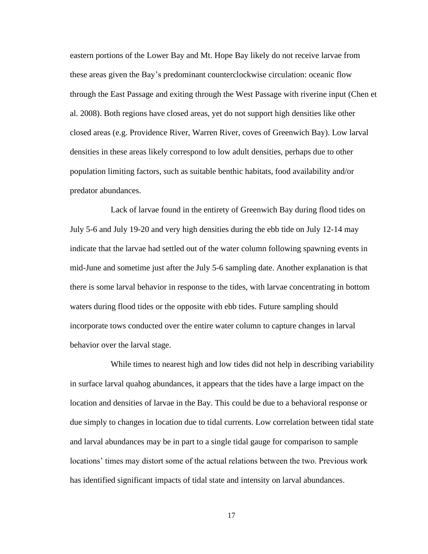eastern portions of the Lower Bay and Mt. Hope Bay likely do not receive larvae from these areas given the Bay's predominant counterclockwise circulation: oceanic flow through the East Passage and exiting through the West Passage with riverine input (Chen et al. 2008). Both regions have closed areas, yet do not support high densities like other closed areas (e.g. Providence River, Warren River, coves of Greenwich Bay). Low larval densities in these areas likely correspond to low adult densities, perhaps due to other population limiting factors, such as suitable benthic habitats, food availability and/or predator abundances.

Lack of larvae found in the entirety of Greenwich Bay during flood tides on July 5-6 and July 19-20 and very high densities during the ebb tide on July 12-14 may indicate that the larvae had settled out of the water column following spawning events in mid-June and sometime just after the July 5-6 sampling date. Another explanation is that there is some larval behavior in response to the tides, with larvae concentrating in bottom waters during flood tides or the opposite with ebb tides. Future sampling should incorporate tows conducted over the entire water column to capture changes in larval behavior over the larval stage.

While times to nearest high and low tides did not help in describing variability in surface larval quahog abundances, it appears that the tides have a large impact on the location and densities of larvae in the Bay. This could be due to a behavioral response or due simply to changes in location due to tidal currents. Low correlation between tidal state and larval abundances may be in part to a single tidal gauge for comparison to sample locations' times may distort some of the actual relations between the two. Previous work has identified significant impacts of tidal state and intensity on larval abundances.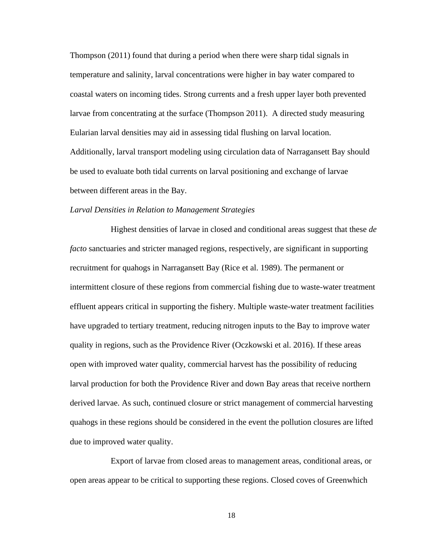Thompson (2011) found that during a period when there were sharp tidal signals in temperature and salinity, larval concentrations were higher in bay water compared to coastal waters on incoming tides. Strong currents and a fresh upper layer both prevented larvae from concentrating at the surface (Thompson 2011). A directed study measuring Eularian larval densities may aid in assessing tidal flushing on larval location. Additionally, larval transport modeling using circulation data of Narragansett Bay should be used to evaluate both tidal currents on larval positioning and exchange of larvae between different areas in the Bay.

#### *Larval Densities in Relation to Management Strategies*

Highest densities of larvae in closed and conditional areas suggest that these *de facto* sanctuaries and stricter managed regions, respectively, are significant in supporting recruitment for quahogs in Narragansett Bay (Rice et al. 1989). The permanent or intermittent closure of these regions from commercial fishing due to waste-water treatment effluent appears critical in supporting the fishery. Multiple waste-water treatment facilities have upgraded to tertiary treatment, reducing nitrogen inputs to the Bay to improve water quality in regions, such as the Providence River (Oczkowski et al. 2016). If these areas open with improved water quality, commercial harvest has the possibility of reducing larval production for both the Providence River and down Bay areas that receive northern derived larvae. As such, continued closure or strict management of commercial harvesting quahogs in these regions should be considered in the event the pollution closures are lifted due to improved water quality.

Export of larvae from closed areas to management areas, conditional areas, or open areas appear to be critical to supporting these regions. Closed coves of Greenwhich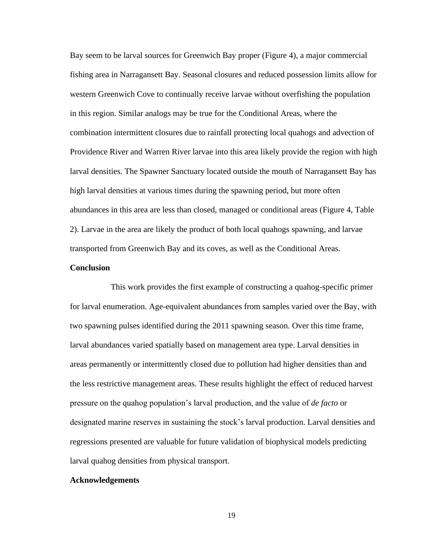Bay seem to be larval sources for Greenwich Bay proper (Figure 4), a major commercial fishing area in Narragansett Bay. Seasonal closures and reduced possession limits allow for western Greenwich Cove to continually receive larvae without overfishing the population in this region. Similar analogs may be true for the Conditional Areas, where the combination intermittent closures due to rainfall protecting local quahogs and advection of Providence River and Warren River larvae into this area likely provide the region with high larval densities. The Spawner Sanctuary located outside the mouth of Narragansett Bay has high larval densities at various times during the spawning period, but more often abundances in this area are less than closed, managed or conditional areas (Figure 4, Table 2). Larvae in the area are likely the product of both local quahogs spawning, and larvae transported from Greenwich Bay and its coves, as well as the Conditional Areas.

### **Conclusion**

This work provides the first example of constructing a quahog-specific primer for larval enumeration. Age-equivalent abundances from samples varied over the Bay, with two spawning pulses identified during the 2011 spawning season. Over this time frame, larval abundances varied spatially based on management area type. Larval densities in areas permanently or intermittently closed due to pollution had higher densities than and the less restrictive management areas. These results highlight the effect of reduced harvest pressure on the quahog population's larval production, and the value of *de facto* or designated marine reserves in sustaining the stock's larval production. Larval densities and regressions presented are valuable for future validation of biophysical models predicting larval quahog densities from physical transport.

### **Acknowledgements**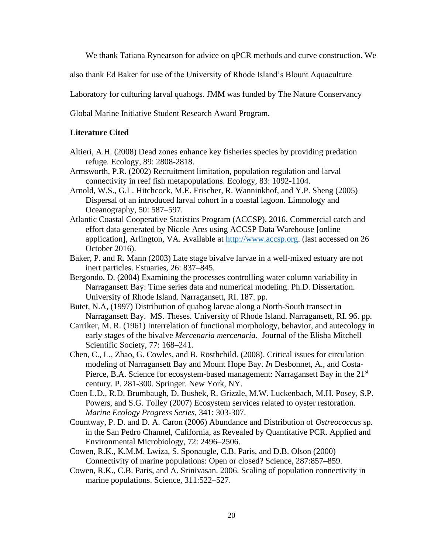We thank Tatiana Rynearson for advice on qPCR methods and curve construction. We

also thank Ed Baker for use of the University of Rhode Island's Blount Aquaculture

Laboratory for culturing larval quahogs. JMM was funded by The Nature Conservancy

Global Marine Initiative Student Research Award Program.

# **Literature Cited**

- Altieri, A.H. (2008) Dead zones enhance key fisheries species by providing predation refuge. Ecology, 89: 2808-2818.
- Armsworth, P.R. (2002) Recruitment limitation, population regulation and larval connectivity in reef fish metapopulations. Ecology, 83: 1092-1104.
- Arnold, W.S., G.L. Hitchcock, M.E. Frischer, R. Wanninkhof, and Y.P. Sheng (2005) Dispersal of an introduced larval cohort in a coastal lagoon. Limnology and Oceanography, 50: 587–597.
- Atlantic Coastal Cooperative Statistics Program (ACCSP). 2016. Commercial catch and effort data generated by Nicole Ares using ACCSP Data Warehouse [online application], Arlington, VA. Available at [http://www.accsp.org.](http://www.accsp.org/) (last accessed on 26 October 2016).
- Baker, P. and R. Mann (2003) Late stage bivalve larvae in a well-mixed estuary are not inert particles. Estuaries, 26: 837–845.
- Bergondo, D. (2004) Examining the processes controlling water column variability in Narragansett Bay: Time series data and numerical modeling. Ph.D. Dissertation. University of Rhode Island. Narragansett, RI. 187. pp.
- Butet, N.A, (1997) Distribution of quahog larvae along a North-South transect in Narragansett Bay. MS. Theses. University of Rhode Island. Narragansett, RI. 96. pp.
- Carriker, M. R. (1961) Interrelation of functional morphology, behavior, and autecology in early stages of the bivalve *Mercenaria mercenaria*. Journal of the Elisha Mitchell Scientific Society, 77: 168–241.
- Chen, C., L., Zhao, G. Cowles, and B. Rosthchild. (2008). Critical issues for circulation modeling of Narragansett Bay and Mount Hope Bay. *In* Desbonnet, A., and Costa-Pierce, B.A. Science for ecosystem-based management: Narragansett Bay in the 21<sup>st</sup> century. P. 281-300. Springer. New York, NY.
- Coen L.D., R.D. Brumbaugh, D. Bushek, R. Grizzle, M.W. Luckenbach, M.H. Posey, S.P. Powers, and S.G. Tolley (2007) Ecosystem services related to oyster restoration. *Marine Ecology Progress Series,* 341: 303-307.
- Countway, P. D. and D. A. Caron (2006) Abundance and Distribution of *Ostreococcus* sp. in the San Pedro Channel, California, as Revealed by Quantitative PCR. Applied and Environmental Microbiology, 72: 2496–2506.
- Cowen, R.K., K.M.M. Lwiza, S. Sponaugle, C.B. Paris, and D.B. Olson (2000) Connectivity of marine populations: Open or closed? Science, 287:857–859.
- Cowen, R.K., C.B. Paris, and A. Srinivasan. 2006. Scaling of population connectivity in marine populations. Science, 311:522–527.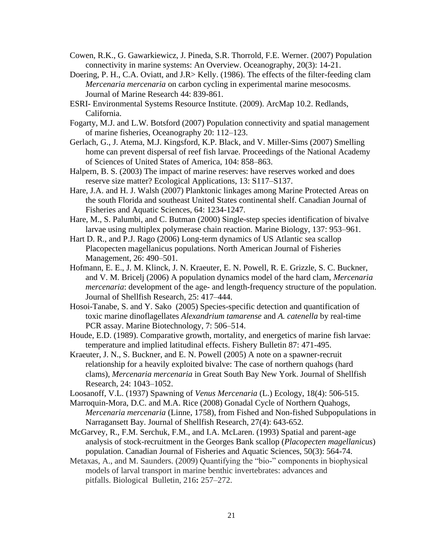- Cowen, R.K., G. Gawarkiewicz, J. Pineda, S.R. Thorrold, F.E. Werner. (2007) Population connectivity in marine systems: An Overview. Oceanography, 20(3): 14-21.
- Doering, P. H., C.A. Oviatt, and J.R> Kelly. (1986). The effects of the filter-feeding clam *Mercenaria mercenaria* on carbon cycling in experimental marine mesocosms. Journal of Marine Research 44: 839-861.
- ESRI- Environmental Systems Resource Institute. (2009). ArcMap 10.2. Redlands, California.
- Fogarty, M.J. and L.W. Botsford (2007) Population connectivity and spatial management of marine fisheries, Oceanography 20: 112–123.
- Gerlach, G., J. Atema, M.J. Kingsford, K.P. Black, and V. Miller-Sims (2007) Smelling home can prevent dispersal of reef fish larvae. Proceedings of the National Academy of Sciences of United States of America, 104: 858–863.
- Halpern, B. S. (2003) The impact of marine reserves: have reserves worked and does reserve size matter? Ecological Applications, 13: S117–S137.
- Hare, J.A. and H. J. Walsh (2007) Planktonic linkages among Marine Protected Areas on the south Florida and southeast United States continental shelf. Canadian Journal of Fisheries and Aquatic Sciences, 64: 1234-1247.
- Hare, M., S. Palumbi, and C. Butman (2000) Single-step species identification of bivalve larvae using multiplex polymerase chain reaction. Marine Biology, 137: 953–961.
- Hart D. R., and P.J. Rago (2006) Long-term dynamics of US Atlantic sea scallop Placopecten magellanicus populations. North American Journal of Fisheries Management, 26: 490–501.
- Hofmann, E. E., J. M. Klinck, J. N. Kraeuter, E. N. Powell, R. E. Grizzle, S. C. Buckner, and V. M. Bricelj (2006) A population dynamics model of the hard clam, *Mercenaria mercenaria*: development of the age- and length-frequency structure of the population. Journal of Shellfish Research, 25: 417–444.
- Hosoi-Tanabe, S. and Y. Sako (2005) Species-specific detection and quantification of toxic marine dinoflagellates *Alexandrium tamarense* and *A. catenella* by real-time PCR assay. Marine Biotechnology, 7: 506–514.
- Houde, E.D. (1989). Comparative growth, mortality, and energetics of marine fish larvae: temperature and implied latitudinal effects. Fishery Bulletin 87: 471-495.
- Kraeuter, J. N., S. Buckner, and E. N. Powell (2005) A note on a spawner-recruit relationship for a heavily exploited bivalve: The case of northern quahogs (hard clams), *Mercenaria mercenaria* in Great South Bay New York. Journal of Shellfish Research, 24: 1043–1052.
- Loosanoff, V.L. (1937) Spawning of *Venus Mercenaria* (L.) Ecology, 18(4): 506-515.
- Marroquin-Mora, D.C. and M.A. Rice (2008) Gonadal Cycle of Northern Quahogs, *Mercenaria mercenaria* (Linne, 1758), from Fished and Non-fished Subpopulations in Narragansett Bay. Journal of Shellfish Research, 27(4): 643-652.
- McGarvey, R., F.M. Serchuk, F.M., and I.A. McLaren. (1993) Spatial and parent-age analysis of stock-recruitment in the Georges Bank scallop (*Placopecten magellanicus*) population. Canadian Journal of Fisheries and Aquatic Sciences, 50(3): 564-74.
- Metaxas, A., and M. Saunders. (2009) Quantifying the "bio-" components in biophysical models of larval transport in marine benthic invertebrates: advances and pitfalls. Biological Bulletin, 216**:** 257–272.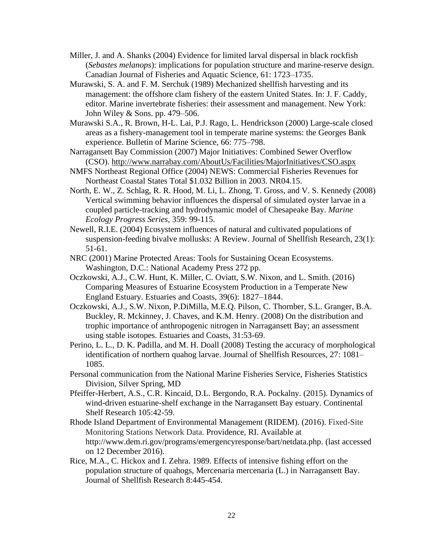- Miller, J. and A. Shanks (2004) Evidence for limited larval dispersal in black rockfish (*Sebastes melanops*): implications for population structure and marine-reserve design. Canadian Journal of Fisheries and Aquatic Science, 61: 1723–1735.
- Murawski, S. A. and F. M. Serchuk (1989) Mechanized shellfish harvesting and its management: the offshore clam fishery of the eastern United States. In: J. F. Caddy, editor. Marine invertebrate fisheries: their assessment and management. New York: John Wiley & Sons. pp. 479–506.
- Murawski S.A., R. Brown, H-L. Lai, P.J. Rago, L. Hendrickson (2000) Large-scale closed areas as a fishery-management tool in temperate marine systems: the Georges Bank experience. Bulletin of Marine Science, 66: 775–798.
- Narragansett Bay Commission (2007) Major Initiatives: Combined Sewer Overflow (CSO).<http://www.narrabay.com/AboutUs/Facilities/MajorInitiatives/CSO.aspx>
- NMFS Northeast Regional Office (2004) NEWS: Commercial Fisheries Revenues for Northeast Coastal States Total \$1.032 Billion in 2003. NR04.15.
- North, E. W., Z. Schlag, R. R. Hood, M. Li, L. Zhong, T. Gross, and V. S. Kennedy (2008) Vertical swimming behavior influences the dispersal of simulated oyster larvae in a coupled particle-tracking and hydrodynamic model of Chesapeake Bay. *Marine Ecology Progress Series,* 359: 99-115.
- Newell, R.I.E. (2004) Ecosystem influences of natural and cultivated populations of suspension-feeding bivalve mollusks: A Review. Journal of Shellfish Research, 23(1): 51-61.
- NRC (2001) Marine Protected Areas: Tools for Sustaining Ocean Ecosystems. Washington, D.C.: National Academy Press 272 pp.
- Oczkowski, A.J., C.W. Hunt, K. Miller, C. Oviatt, S.W. Nixon, and L. Smith. (2016) Comparing Measures of Estuarine Ecosystem Production in a Temperate New England Estuary. Estuaries and Coasts, 39(6): 1827–1844.
- Oczkowski, A.J., S.W. Nixon, P.DiMilla, M.E.Q. Pilson, C. Thornber, S.L. Granger, B.A. Buckley, R. Mckinney, J. Chaves, and K.M. Henry. (2008) On the distribution and trophic importance of anthropogenic nitrogen in Narragansett Bay; an assessment using stable isotopes. Estuaries and Coasts, 31:53-69.
- Perino, L. L., D. K. Padilla, and M. H. Doall (2008) Testing the accuracy of morphological identification of northern quahog larvae. Journal of Shellfish Resources, 27: 1081– 1085.
- Personal communication from the National Marine Fisheries Service, Fisheries Statistics Division, Silver Spring, MD
- Pfeiffer-Herbert, A.S., C.R. Kincaid, D.L. Bergondo, R.A. Pockalny. (2015). Dynamics of wind-driven estuarine-shelf exchange in the Narragansett Bay estuary. Continental Shelf Research 105:42-59.
- Rhode Island Department of Environmental Management (RIDEM). (2016). Fixed-Site Monitoring Stations Network Data. Providence, RI. Available at http://www.dem.ri.gov/programs/emergencyresponse/bart/netdata.php. (last accessed on 12 December 2016).
- Rice, M.A., C. Hickox and I. Zehra. 1989. Effects of intensive fishing effort on the population structure of quahogs, Mercenaria mercenaria (L.) in Narragansett Bay. Journal of Shellfish Research 8:445-454.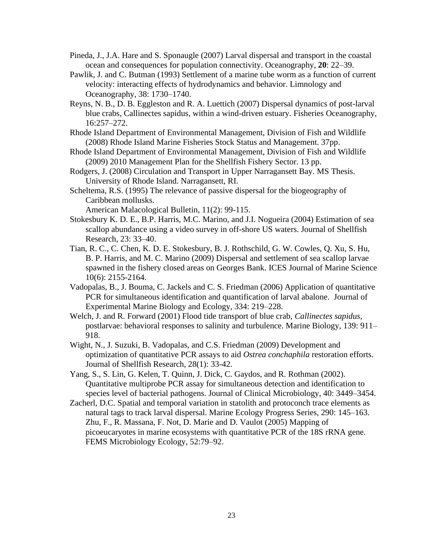- Pineda, J., J.A. Hare and S. Sponaugle (2007) Larval dispersal and transport in the coastal ocean and consequences for population connectivity. Oceanography, **20**: 22–39.
- Pawlik, J. and C. Butman (1993) Settlement of a marine tube worm as a function of current velocity: interacting effects of hydrodynamics and behavior. Limnology and Oceanography, 38: 1730–1740.
- Reyns, N. B., D. B. Eggleston and R. A. Luettich (2007) Dispersal dynamics of post-larval blue crabs, Callinectes sapidus, within a wind-driven estuary. Fisheries Oceanography, 16:257–272.
- Rhode Island Department of Environmental Management, Division of Fish and Wildlife (2008) Rhode Island Marine Fisheries Stock Status and Management. 37pp.
- Rhode Island Department of Environmental Management, Division of Fish and Wildlife (2009) 2010 Management Plan for the Shellfish Fishery Sector. 13 pp.
- Rodgers, J. (2008) Circulation and Transport in Upper Narragansett Bay. MS Thesis. University of Rhode Island. Narragansett, RI.
- Scheltema, R.S. (1995) The relevance of passive dispersal for the biogeography of Caribbean mollusks.

```
American Malacological Bulletin, 11(2): 99-115.
```
- Stokesbury K. D. E., B.P. Harris, M.C. Marino, and J.I. Nogueira (2004) Estimation of sea scallop abundance using a video survey in off-shore US waters. Journal of Shellfish Research, 23: 33–40.
- Tian, R. C., C. Chen, K. D. E. Stokesbury, B. J. Rothschild, G. W. Cowles, Q. Xu, S. Hu, B. P. Harris, and M. C. Marino (2009) Dispersal and settlement of sea scallop larvae spawned in the fishery closed areas on Georges Bank. ICES Journal of Marine Science 10(6): 2155-2164.
- Vadopalas, B., J. Bouma, C. Jackels and C. S. Friedman (2006) Application of quantitative PCR for simultaneous identification and quantification of larval abalone. Journal of Experimental Marine Biology and Ecology, 334: 219–228.
- Welch, J. and R. Forward (2001) Flood tide transport of blue crab, *Callinectes sapidus*, postlarvae: behavioral responses to salinity and turbulence. Marine Biology, 139: 911– 918.
- Wight, N., J. Suzuki, B. Vadopalas, and C.S. Friedman (2009) Development and optimization of quantitative PCR assays to aid *Ostrea conchaphila* restoration efforts. Journal of Shellfish Research, 28(1): 33-42.
- Yang, S., S. Lin, G. Kelen, T. Quinn, J. Dick, C. Gaydos, and R. Rothman (2002). Quantitative multiprobe PCR assay for simultaneous detection and identification to species level of bacterial pathogens. Journal of Clinical Microbiology, 40: 3449–3454.
- Zacherl, D.C. Spatial and temporal variation in statolith and protoconch trace elements as natural tags to track larval dispersal. Marine Ecology Progress Series, 290: 145–163. Zhu, F., R. Massana, F. Not, D. Marie and D. Vaulot (2005) Mapping of picoeucaryotes in marine ecosystems with quantitative PCR of the 18S rRNA gene. FEMS Microbiology Ecology, 52:79–92.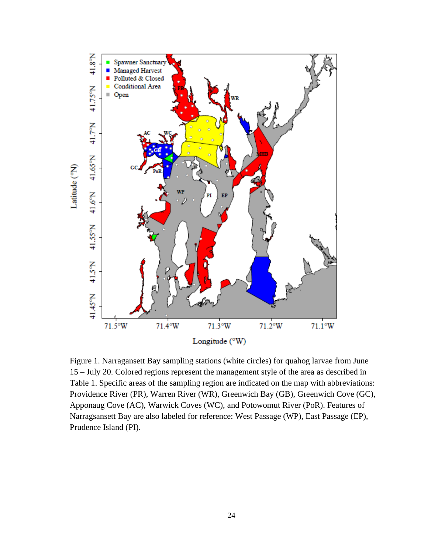

Figure 1. Narragansett Bay sampling stations (white circles) for quahog larvae from June 15 – July 20. Colored regions represent the management style of the area as described in Table 1. Specific areas of the sampling region are indicated on the map with abbreviations: Providence River (PR), Warren River (WR), Greenwich Bay (GB), Greenwich Cove (GC), Apponaug Cove (AC), Warwick Coves (WC), and Potowomut River (PoR). Features of Narragsansett Bay are also labeled for reference: West Passage (WP), East Passage (EP), Prudence Island (PI).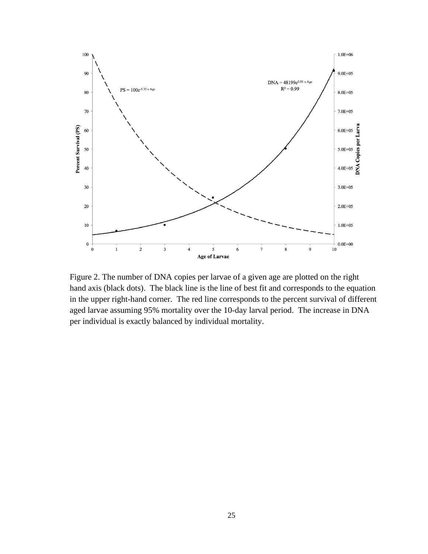

Figure 2. The number of DNA copies per larvae of a given age are plotted on the right hand axis (black dots). The black line is the line of best fit and corresponds to the equation in the upper right-hand corner. The red line corresponds to the percent survival of different aged larvae assuming 95% mortality over the 10-day larval period. The increase in DNA per individual is exactly balanced by individual mortality.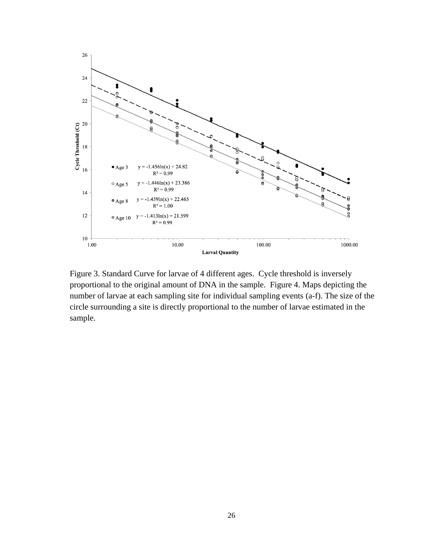

Figure 3. Standard Curve for larvae of 4 different ages. Cycle threshold is inversely proportional to the original amount of DNA in the sample. Figure 4. Maps depicting the number of larvae at each sampling site for individual sampling events (a-f). The size of the circle surrounding a site is directly proportional to the number of larvae estimated in the sample.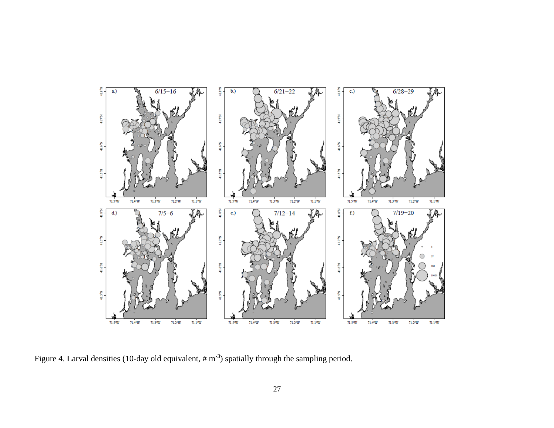

Figure 4. Larval densities (10-day old equivalent,  $\# \text{m}^{-3}$ ) spatially through the sampling period.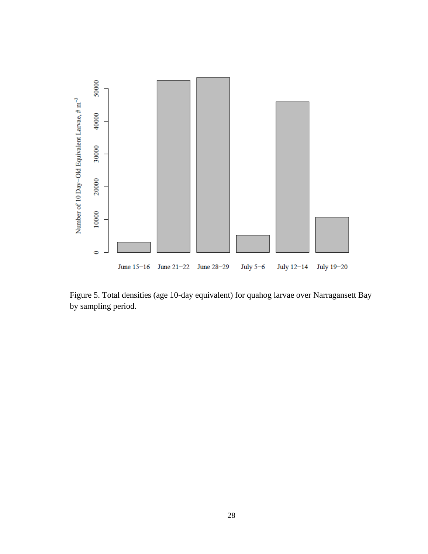

Figure 5. Total densities (age 10-day equivalent) for quahog larvae over Narragansett Bay by sampling period.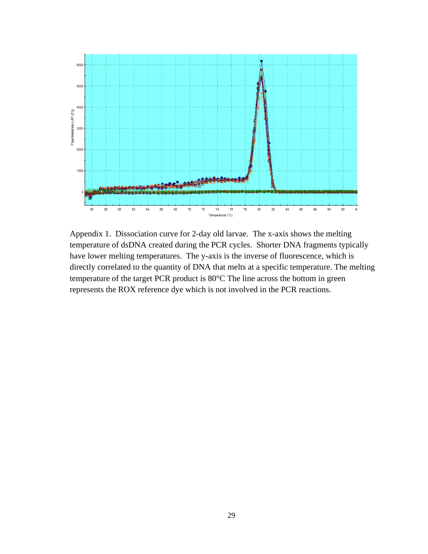

Appendix 1. Dissociation curve for 2-day old larvae. The x-axis shows the melting temperature of dsDNA created during the PCR cycles. Shorter DNA fragments typically have lower melting temperatures. The y-axis is the inverse of fluorescence, which is directly correlated to the quantity of DNA that melts at a specific temperature. The melting temperature of the target PCR product is 80°C The line across the bottom in green represents the ROX reference dye which is not involved in the PCR reactions.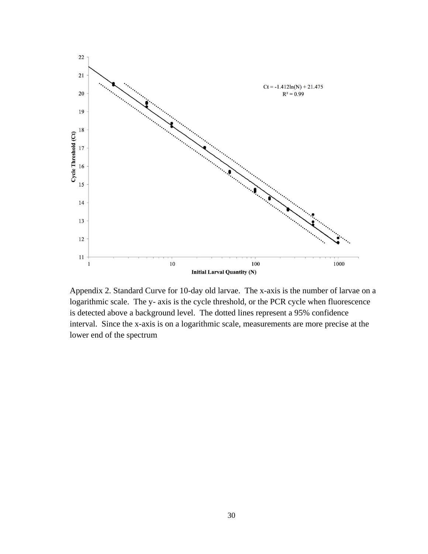

Appendix 2. Standard Curve for 10-day old larvae. The x-axis is the number of larvae on a logarithmic scale. The y- axis is the cycle threshold, or the PCR cycle when fluorescence is detected above a background level. The dotted lines represent a 95% confidence interval. Since the x-axis is on a logarithmic scale, measurements are more precise at the lower end of the spectrum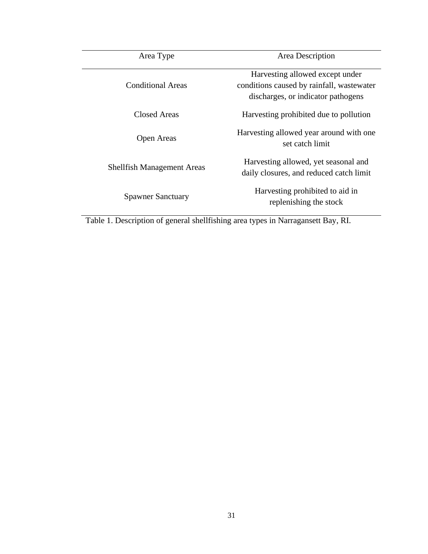| Area Type                         | Area Description                                                                                                    |  |  |  |  |
|-----------------------------------|---------------------------------------------------------------------------------------------------------------------|--|--|--|--|
| Conditional Areas                 | Harvesting allowed except under<br>conditions caused by rainfall, was tewater<br>discharges, or indicator pathogens |  |  |  |  |
| Closed Areas                      | Harvesting prohibited due to pollution                                                                              |  |  |  |  |
| <b>Open Areas</b>                 | Harvesting allowed year around with one<br>set catch limit                                                          |  |  |  |  |
| <b>Shellfish Management Areas</b> | Harvesting allowed, yet seasonal and<br>daily closures, and reduced catch limit                                     |  |  |  |  |
| <b>Spawner Sanctuary</b>          | Harvesting prohibited to aid in<br>replenishing the stock                                                           |  |  |  |  |

Table 1. Description of general shellfishing area types in Narragansett Bay, RI.